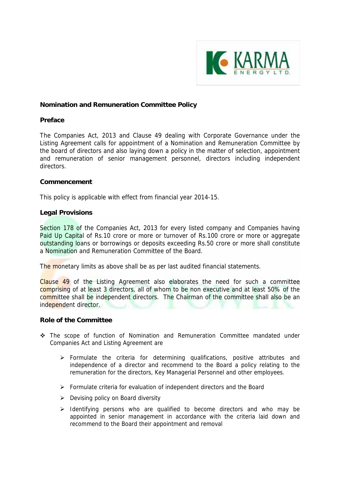

### **Nomination and Remuneration Committee Policy**

#### **Preface**

The Companies Act, 2013 and Clause 49 dealing with Corporate Governance under the Listing Agreement calls for appointment of a Nomination and Remuneration Committee by the board of directors and also laying down a policy in the matter of selection, appointment and remuneration of senior management personnel, directors including independent directors.

#### **Commencement**

This policy is applicable with effect from financial year 2014-15.

#### **Legal Provisions**

Section 178 of the Companies Act, 2013 for every listed company and Companies having Paid Up Capital of Rs.10 crore or more or turnover of Rs.100 crore or more or aggregate outstanding loans or borrowings or deposits exceeding Rs.50 crore or more shall constitute a Nomination and Remuneration Committee of the Board.

The monetary limits as above shall be as per last audited financial statements.

Clause 49 of the Listing Agreement also elaborates the need for such a committee comprising of at least 3 directors, all of whom to be non executive and at least 50% of the committee shall be independent directors. The Chairman of the committee shall also be an independent director.

#### **Role of the Committee**

- The scope of function of Nomination and Remuneration Committee mandated under Companies Act and Listing Agreement are
	- $\triangleright$  Formulate the criteria for determining qualifications, positive attributes and independence of a director and recommend to the Board a policy relating to the remuneration for the directors, Key Managerial Personnel and other employees.
	- $\triangleright$  Formulate criteria for evaluation of independent directors and the Board
	- $\triangleright$  Devising policy on Board diversity
	- $\triangleright$  Identifying persons who are qualified to become directors and who may be appointed in senior management in accordance with the criteria laid down and recommend to the Board their appointment and removal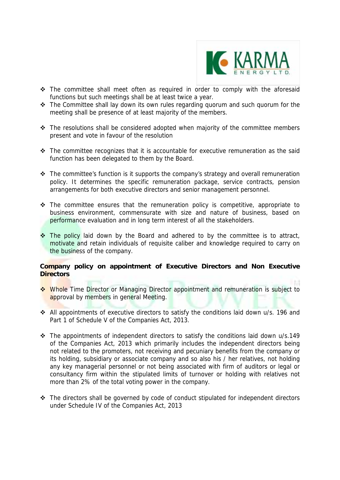

- The committee shall meet often as required in order to comply with the aforesaid functions but such meetings shall be at least twice a year.
- The Committee shall lay down its own rules regarding quorum and such quorum for the meeting shall be presence of at least majority of the members.
- $\cdot$  The resolutions shall be considered adopted when majority of the committee members present and vote in favour of the resolution
- $\div$  The committee recognizes that it is accountable for executive remuneration as the said function has been delegated to them by the Board.
- $\cdot$  The committee's function is it supports the company's strategy and overall remuneration policy. It determines the specific remuneration package, service contracts, pension arrangements for both executive directors and senior management personnel.
- \* The committee ensures that the remuneration policy is competitive, appropriate to business environment, commensurate with size and nature of business, based on performance evaluation and in long term interest of all the stakeholders.
- $\cdot$  The policy laid down by the Board and adhered to by the committee is to attract, motivate and retain individuals of requisite caliber and knowledge required to carry on the business of the company.

# **Company policy on appointment of Executive Directors and Non Executive Directors**

- \* Whole Time Director or Managing Director appointment and remuneration is subject to approval by members in general Meeting.
- All appointments of executive directors to satisfy the conditions laid down u/s. 196 and Part 1 of Schedule V of the Companies Act, 2013.
- \* The appointments of independent directors to satisfy the conditions laid down u/s.149 of the Companies Act, 2013 which primarily includes the independent directors being not related to the promoters, not receiving and pecuniary benefits from the company or its holding, subsidiary or associate company and so also his / her relatives, not holding any key managerial personnel or not being associated with firm of auditors or legal or consultancy firm within the stipulated limits of turnover or holding with relatives not more than 2% of the total voting power in the company.
- $\cdot \cdot$  The directors shall be governed by code of conduct stipulated for independent directors under Schedule IV of the Companies Act, 2013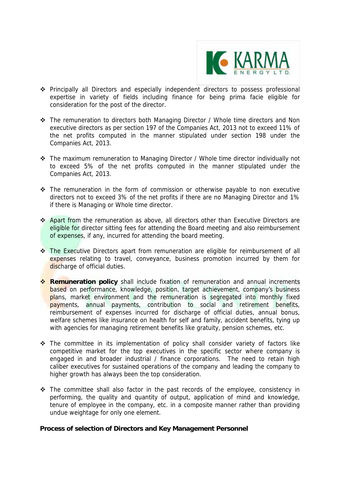

- Principally all Directors and especially independent directors to possess professional expertise in variety of fields including finance for being prima facie eligible for consideration for the post of the director.
- \* The remuneration to directors both Managing Director / Whole time directors and Non executive directors as per section 197 of the Companies Act, 2013 not to exceed 11% of the net profits computed in the manner stipulated under section 198 under the Companies Act, 2013.
- \* The maximum remuneration to Managing Director / Whole time director individually not to exceed 5% of the net profits computed in the manner stipulated under the Companies Act, 2013.
- $\div$  The remuneration in the form of commission or otherwise payable to non executive directors not to exceed 3% of the net profits if there are no Managing Director and 1% if there is Managing or Whole time director.
- \* Apart from the remuneration as above, all directors other than Executive Directors are eligible for director sitting fees for attending the Board meeting and also reimbursement of expenses, if any, incurred for attending the board meeting.
- \* The Executive Directors apart from remuneration are eligible for reimbursement of all expenses relating to travel, conveyance, business promotion incurred by them for discharge of official duties.
- **Remuneration policy** shall include fixation of remuneration and annual increments based on performance, knowledge, position, target achievement, company's business plans, market environment and the remuneration is segregated into monthly fixed payments, annual payments, contribution to social and retirement benefits, reimbursement of expenses incurred for discharge of official duties, annual bonus, welfare schemes like insurance on health for self and family, accident benefits, tying up with agencies for managing retirement benefits like gratuity, pension schemes, etc.
- \* The committee in its implementation of policy shall consider variety of factors like competitive market for the top executives in the specific sector where company is engaged in and broader industrial / finance corporations. The need to retain high caliber executives for sustained operations of the company and leading the company to higher growth has always been the top consideration.
- \* The committee shall also factor in the past records of the employee, consistency in performing, the quality and quantity of output, application of mind and knowledge, tenure of employee in the company, etc. in a composite manner rather than providing undue weightage for only one element.

### **Process of selection of Directors and Key Management Personnel**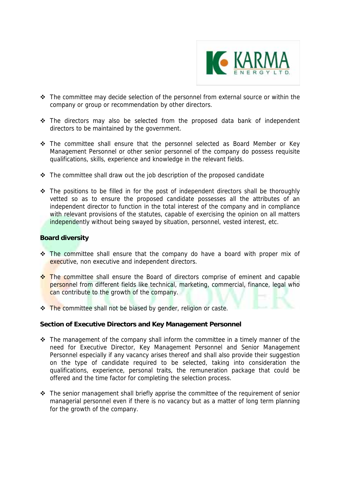

- \* The committee may decide selection of the personnel from external source or within the company or group or recommendation by other directors.
- The directors may also be selected from the proposed data bank of independent directors to be maintained by the government.
- \* The committee shall ensure that the personnel selected as Board Member or Key Management Personnel or other senior personnel of the company do possess requisite qualifications, skills, experience and knowledge in the relevant fields.
- $\cdot \cdot$  The committee shall draw out the job description of the proposed candidate
- $\div$  The positions to be filled in for the post of independent directors shall be thoroughly vetted so as to ensure the proposed candidate possesses all the attributes of an independent director to function in the total interest of the company and in compliance with relevant provisions of the statutes, capable of exercising the opinion on all matters independently without being swayed by situation, personnel, vested interest, etc.

# **Board diversity**

- \* The committee shall ensure that the company do have a board with proper mix of executive, non executive and independent directors.
- \* The committee shall ensure the Board of directors comprise of eminent and capable personnel from different fields like technical, marketing, commercial, finance, legal who can contribute to the growth of the company.
- \* The committee shall not be biased by gender, religion or caste.

### **Section of Executive Directors and Key Management Personnel**

- $\div$  The management of the company shall inform the committee in a timely manner of the need for Executive Director, Key Management Personnel and Senior Management Personnel especially if any vacancy arises thereof and shall also provide their suggestion on the type of candidate required to be selected, taking into consideration the qualifications, experience, personal traits, the remuneration package that could be offered and the time factor for completing the selection process.
- $\cdot \cdot$  The senior management shall briefly apprise the committee of the requirement of senior managerial personnel even if there is no vacancy but as a matter of long term planning for the growth of the company.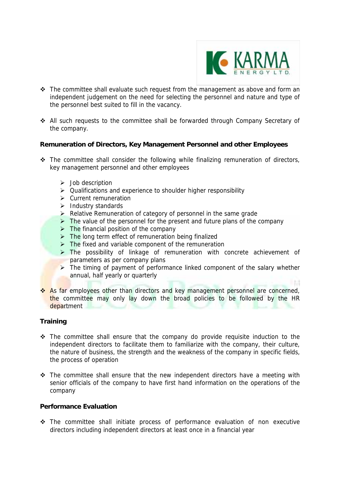

a poli

- \* The committee shall evaluate such request from the management as above and form an independent judgement on the need for selecting the personnel and nature and type of the personnel best suited to fill in the vacancy.
- All such requests to the committee shall be forwarded through Company Secretary of the company.

## **Remuneration of Directors, Key Management Personnel and other Employees**

- $\cdot$  The committee shall consider the following while finalizing remuneration of directors, key management personnel and other employees
	- $\triangleright$  Job description
	- $\triangleright$  Qualifications and experience to shoulder higher responsibility
	- $\triangleright$  Current remuneration
	- $\triangleright$  Industry standards
	- $\triangleright$  Relative Remuneration of category of personnel in the same grade
	- $\triangleright$  The value of the personnel for the present and future plans of the company
	- $\triangleright$  The financial position of the company
	- $\triangleright$  The long term effect of remuneration being finalized
	- $\triangleright$  The fixed and variable component of the remuneration
	- > The possibility of linkage of remuneration with concrete achievement of parameters as per company plans
	- $\triangleright$  The timing of payment of performance linked component of the salary whether annual, half yearly or quarterly
- \* As far employees other than directors and key management personnel are concerned, the committee may only lay down the broad policies to be followed by the HR department

# **Training**

- $\div$  The committee shall ensure that the company do provide requisite induction to the independent directors to facilitate them to familiarize with the company, their culture, the nature of business, the strength and the weakness of the company in specific fields, the process of operation
- $\div$  The committee shall ensure that the new independent directors have a meeting with senior officials of the company to have first hand information on the operations of the company

### **Performance Evaluation**

 The committee shall initiate process of performance evaluation of non executive directors including independent directors at least once in a financial year